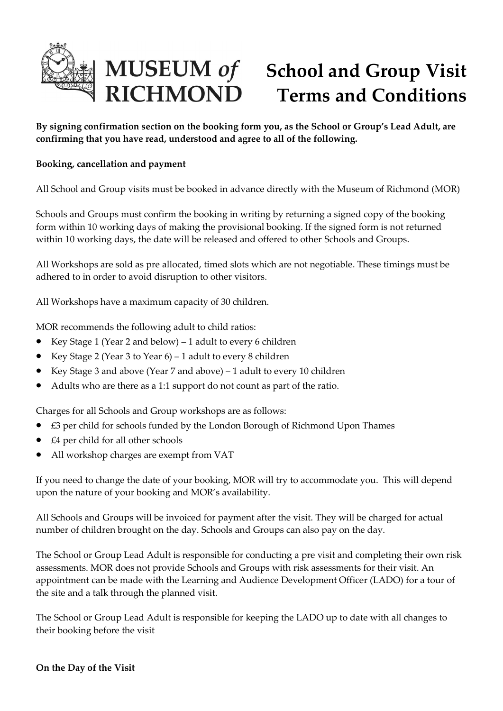

## **MUSEUM of<br>RICHMOND School and Group Visit Terms and Conditions**

**By signing confirmation section on the booking form you, as the School or Group's Lead Adult, are confirming that you have read, understood and agree to all of the following.**

## **Booking, cancellation and payment**

All School and Group visits must be booked in advance directly with the Museum of Richmond (MOR)

Schools and Groups must confirm the booking in writing by returning a signed copy of the booking form within 10 working days of making the provisional booking. If the signed form is not returned within 10 working days, the date will be released and offered to other Schools and Groups.

All Workshops are sold as pre allocated, timed slots which are not negotiable. These timings must be adhered to in order to avoid disruption to other visitors.

All Workshops have a maximum capacity of 30 children.

MOR recommends the following adult to child ratios:

- Exercise Mexican  $Key$  Stage 1 (Year 2 and below) 1 adult to every 6 children
- Key Stage 2 (Year 3 to Year 6) 1 adult to every 8 children
- Key Stage 3 and above (Year 7 and above) 1 adult to every 10 children
- Adults who are there as a 1:1 support do not count as part of the ratio.

Charges for all Schools and Group workshops are as follows:

- £3 per child for schools funded by the London Borough of Richmond Upon Thames
- £4 per child for all other schools
- All workshop charges are exempt from VAT

If you need to change the date of your booking, MOR will try to accommodate you. This will depend upon the nature of your booking and MOR's availability.

All Schools and Groups will be invoiced for payment after the visit. They will be charged for actual number of children brought on the day. Schools and Groups can also pay on the day.

The School or Group Lead Adult is responsible for conducting a pre visit and completing their own risk assessments. MOR does not provide Schools and Groups with risk assessments for their visit. An appointment can be made with the Learning and Audience Development Officer (LADO) for a tour of the site and a talk through the planned visit.

The School or Group Lead Adult is responsible for keeping the LADO up to date with all changes to their booking before the visit